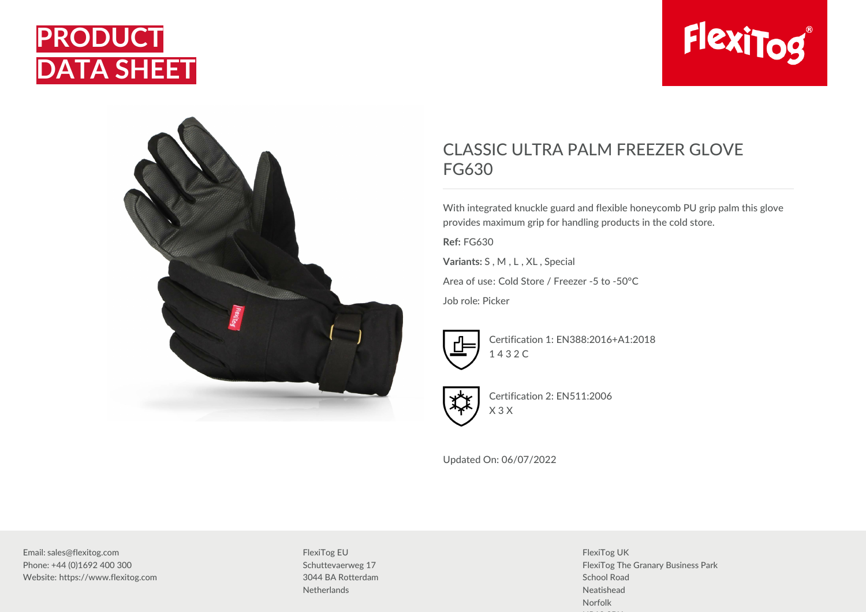



## FlexiTog®

## CLASSIC ULTRA PALM FREEZER GLOVE FG630

With integrated knuckle guard and flexible honeycomb PU grip palm this glove provides maximum grip for handling products in the cold store.

**Ref:** FG630

**Variants:** S , M , L , XL , Special

Area of use: Cold Store / Freezer -5 to -50°C

Job role: Picker



Certification 1: EN388:2016+A1:2018 1 4 3 2 C



Certification 2: EN511:2006 X 3 X

Updated On: 06/07/2022

Email: sales@flexitog.com Phone: +44 (0)1692 400 300 Website: https://www.flexitog.com FlexiTog EU Schuttevaerweg 17 3044 BA Rotterdam **Netherlands** 

FlexiTog UK FlexiTog The Granary Business Park School Road Neatishead Norfolk